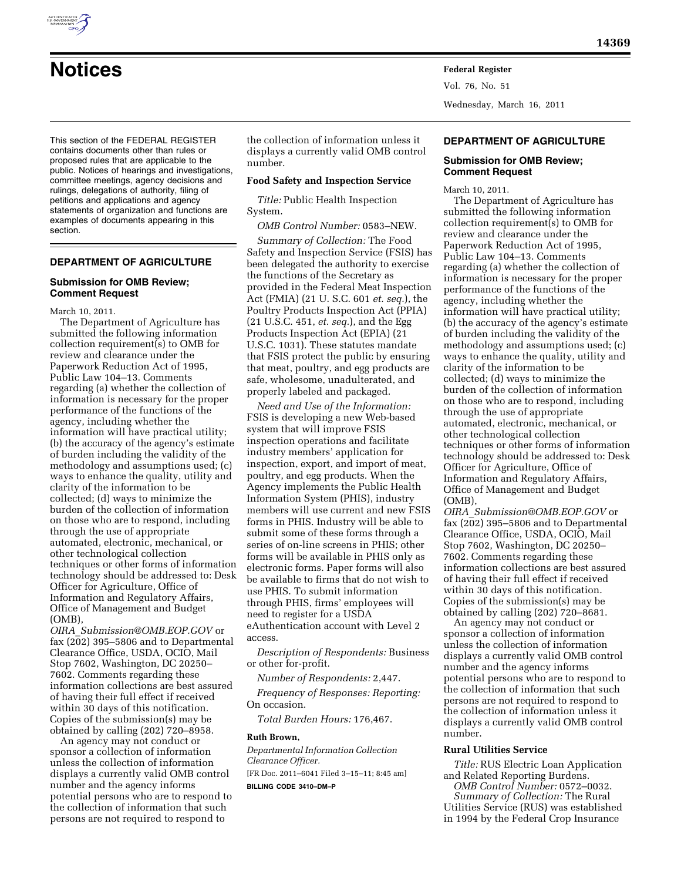

Vol. 76, No. 51 Wednesday, March 16, 2011

This section of the FEDERAL REGISTER contains documents other than rules or proposed rules that are applicable to the public. Notices of hearings and investigations, committee meetings, agency decisions and rulings, delegations of authority, filing of petitions and applications and agency statements of organization and functions are examples of documents appearing in this section.

# **DEPARTMENT OF AGRICULTURE**

## **Submission for OMB Review; Comment Request**

March 10, 2011.

The Department of Agriculture has submitted the following information collection requirement(s) to OMB for review and clearance under the Paperwork Reduction Act of 1995, Public Law 104–13. Comments regarding (a) whether the collection of information is necessary for the proper performance of the functions of the agency, including whether the information will have practical utility; (b) the accuracy of the agency's estimate of burden including the validity of the methodology and assumptions used; (c) ways to enhance the quality, utility and clarity of the information to be collected; (d) ways to minimize the burden of the collection of information on those who are to respond, including through the use of appropriate automated, electronic, mechanical, or other technological collection techniques or other forms of information technology should be addressed to: Desk Officer for Agriculture, Office of Information and Regulatory Affairs, Office of Management and Budget (OMB),

*OIRA*\_*[Submission@OMB.EOP.GOV](mailto:OIRA_Submission@OMB.EOP.GOV)* or fax (202) 395–5806 and to Departmental Clearance Office, USDA, OCIO, Mail Stop 7602, Washington, DC 20250– 7602. Comments regarding these information collections are best assured of having their full effect if received within 30 days of this notification. Copies of the submission(s) may be obtained by calling (202) 720–8958.

An agency may not conduct or sponsor a collection of information unless the collection of information displays a currently valid OMB control number and the agency informs potential persons who are to respond to the collection of information that such persons are not required to respond to

the collection of information unless it displays a currently valid OMB control number.

### **Food Safety and Inspection Service**

*Title:* Public Health Inspection System.

*OMB Control Number:* 0583–NEW.

*Summary of Collection:* The Food Safety and Inspection Service (FSIS) has been delegated the authority to exercise the functions of the Secretary as provided in the Federal Meat Inspection Act (FMIA) (21 U. S.C. 601 *et. seq.*), the Poultry Products Inspection Act (PPIA) (21 U.S.C. 451, *et. seq.*), and the Egg Products Inspection Act (EPIA) (21 U.S.C. 1031). These statutes mandate that FSIS protect the public by ensuring that meat, poultry, and egg products are safe, wholesome, unadulterated, and properly labeled and packaged.

*Need and Use of the Information:*  FSIS is developing a new Web-based system that will improve FSIS inspection operations and facilitate industry members' application for inspection, export, and import of meat, poultry, and egg products. When the Agency implements the Public Health Information System (PHIS), industry members will use current and new FSIS forms in PHIS. Industry will be able to submit some of these forms through a series of on-line screens in PHIS; other forms will be available in PHIS only as electronic forms. Paper forms will also be available to firms that do not wish to use PHIS. To submit information through PHIS, firms' employees will need to register for a USDA eAuthentication account with Level 2 access.

*Description of Respondents:* Business or other for-profit.

*Number of Respondents:* 2,447.

*Frequency of Responses: Reporting:*  On occasion.

*Total Burden Hours:* 176,467.

#### **Ruth Brown,**

*Departmental Information Collection Clearance Officer.* 

[FR Doc. 2011–6041 Filed 3–15–11; 8:45 am] **BILLING CODE 3410–DM–P** 

## **DEPARTMENT OF AGRICULTURE**

## **Submission for OMB Review; Comment Request**

March 10, 2011.

The Department of Agriculture has submitted the following information collection requirement(s) to OMB for review and clearance under the Paperwork Reduction Act of 1995, Public Law 104–13. Comments regarding (a) whether the collection of information is necessary for the proper performance of the functions of the agency, including whether the information will have practical utility; (b) the accuracy of the agency's estimate of burden including the validity of the methodology and assumptions used; (c) ways to enhance the quality, utility and clarity of the information to be collected; (d) ways to minimize the burden of the collection of information on those who are to respond, including through the use of appropriate automated, electronic, mechanical, or other technological collection techniques or other forms of information technology should be addressed to: Desk Officer for Agriculture, Office of Information and Regulatory Affairs, Office of Management and Budget (OMB),

*OIRA*\_*[Submission@OMB.EOP.GOV](mailto:OIRA_Submission@OMB.EOP.GOV)* or fax (202) 395–5806 and to Departmental Clearance Office, USDA, OCIO, Mail Stop 7602, Washington, DC 20250– 7602. Comments regarding these information collections are best assured of having their full effect if received within 30 days of this notification. Copies of the submission(s) may be obtained by calling (202) 720–8681.

An agency may not conduct or sponsor a collection of information unless the collection of information displays a currently valid OMB control number and the agency informs potential persons who are to respond to the collection of information that such persons are not required to respond to the collection of information unless it displays a currently valid OMB control number.

## **Rural Utilities Service**

*Title:* RUS Electric Loan Application and Related Reporting Burdens.

*OMB Control Number:* 0572–0032. *Summary of Collection:* The Rural Utilities Service (RUS) was established in 1994 by the Federal Crop Insurance